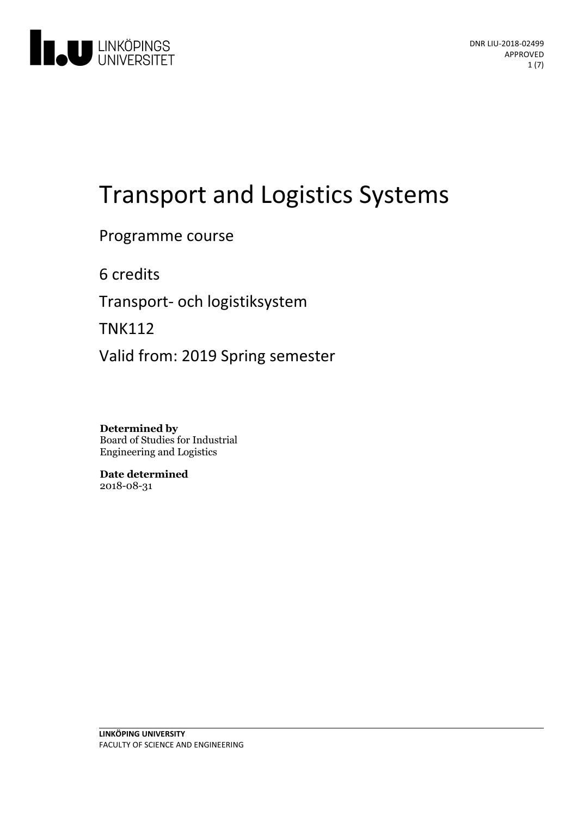

# Transport and Logistics Systems

Programme course

6 credits

Transport- och logistiksystem

TNK112

Valid from: 2019 Spring semester

**Determined by** Board of Studies for Industrial Engineering and Logistics

**Date determined** 2018-08-31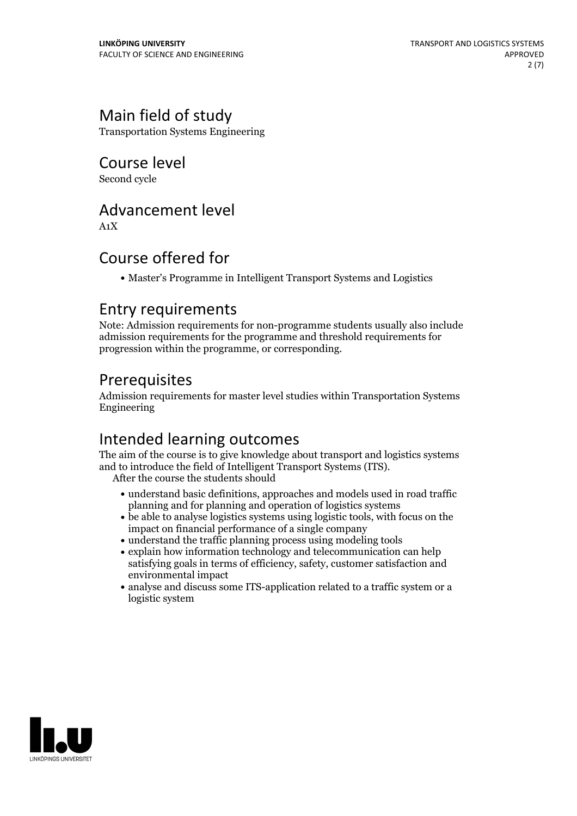# Main field of study

Transportation Systems Engineering

Course level

Second cycle

# Advancement level

A1X

# Course offered for

Master's Programme in Intelligent Transport Systems and Logistics

### Entry requirements

Note: Admission requirements for non-programme students usually also include admission requirements for the programme and threshold requirements for progression within the programme, or corresponding.

# Prerequisites

Admission requirements for master level studies within Transportation Systems Engineering

# Intended learning outcomes

The aim of the course is to give knowledge about transport and logistics systems and to introduce the field of Intelligent Transport Systems (ITS). After the course the students should

- understand basic definitions, approaches and models used in road traffic planning and for planning and operation of logistics systems
- be able to analyse logistics systems using logistic tools, with focus on the impact on financial performance of a single company
- understand the traffic planning process using modeling tools
- explain how information technology and telecommunication can help satisfying goals in terms of efficiency, safety, customer satisfaction and environmental impact
- analyse and discuss some ITS-application related to a traffic system or a logistic system

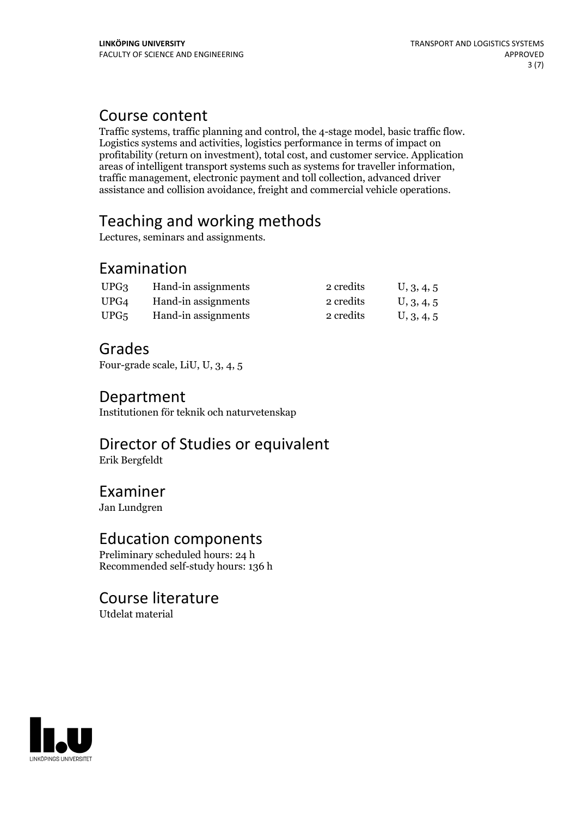### Course content

Traffic systems, traffic planning and control, the 4-stage model, basic traffic flow. Logistics systems and activities, logistics performance in terms of impact on profitability (return on investment), total cost, and customer service. Application areas of intelligent transport systems such as systems for traveller information, traffic management, electronic payment and toll collection, advanced driver assistance and collision avoidance, freight and commercial vehicle operations.

# Teaching and working methods

Lectures, seminars and assignments.

# Examination

| UPG <sub>3</sub> | Hand-in assignments | 2 credits | U, 3, 4, 5 |
|------------------|---------------------|-----------|------------|
| UPG4             | Hand-in assignments | 2 credits | U, 3, 4, 5 |
| UPG5             | Hand-in assignments | 2 credits | U, 3, 4, 5 |

### Grades

Four-grade scale, LiU, U, 3, 4, 5

### Department

Institutionen för teknik och naturvetenskap

# Director of Studies or equivalent

Erik Bergfeldt

### Examiner

Jan Lundgren

### Education components

Preliminary scheduled hours: 24 h Recommended self-study hours: 136 h

### Course literature

Utdelat material

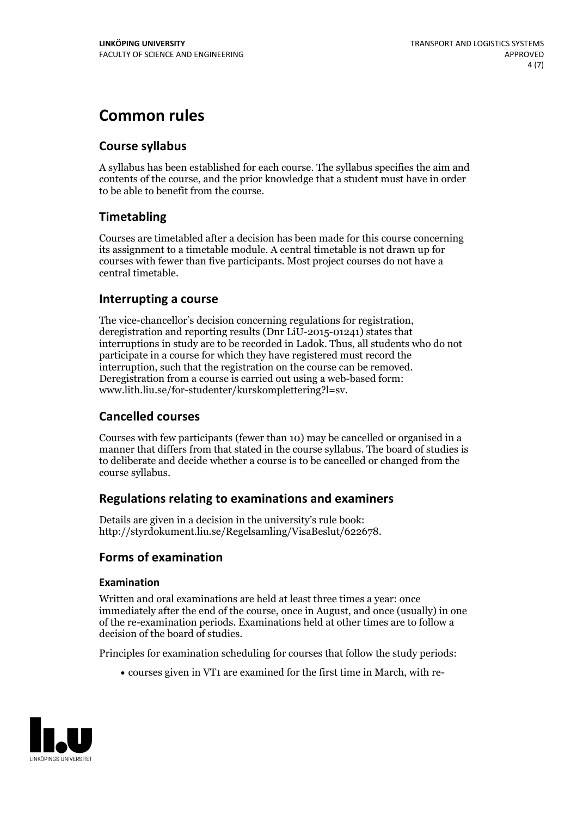# **Common rules**

### **Course syllabus**

A syllabus has been established for each course. The syllabus specifies the aim and contents of the course, and the prior knowledge that a student must have in order to be able to benefit from the course.

### **Timetabling**

Courses are timetabled after a decision has been made for this course concerning its assignment to a timetable module. A central timetable is not drawn up for courses with fewer than five participants. Most project courses do not have a central timetable.

### **Interrupting a course**

The vice-chancellor's decision concerning regulations for registration, deregistration and reporting results (Dnr LiU-2015-01241) states that interruptions in study are to be recorded in Ladok. Thus, all students who do not participate in a course for which they have registered must record the interruption, such that the registration on the course can be removed. Deregistration from <sup>a</sup> course is carried outusing <sup>a</sup> web-based form: www.lith.liu.se/for-studenter/kurskomplettering?l=sv.

### **Cancelled courses**

Courses with few participants (fewer than 10) may be cancelled or organised in a manner that differs from that stated in the course syllabus. The board of studies is to deliberate and decide whether a course is to be cancelled orchanged from the course syllabus.

### **Regulations relatingto examinations and examiners**

Details are given in a decision in the university's rule book: http://styrdokument.liu.se/Regelsamling/VisaBeslut/622678.

### **Forms of examination**

### **Examination**

Written and oral examinations are held at least three times a year: once immediately after the end of the course, once in August, and once (usually) in one of the re-examination periods. Examinations held at other times are to follow a decision of the board of studies.

Principles for examination scheduling for courses that follow the study periods:

courses given in VT1 are examined for the first time in March, with re-

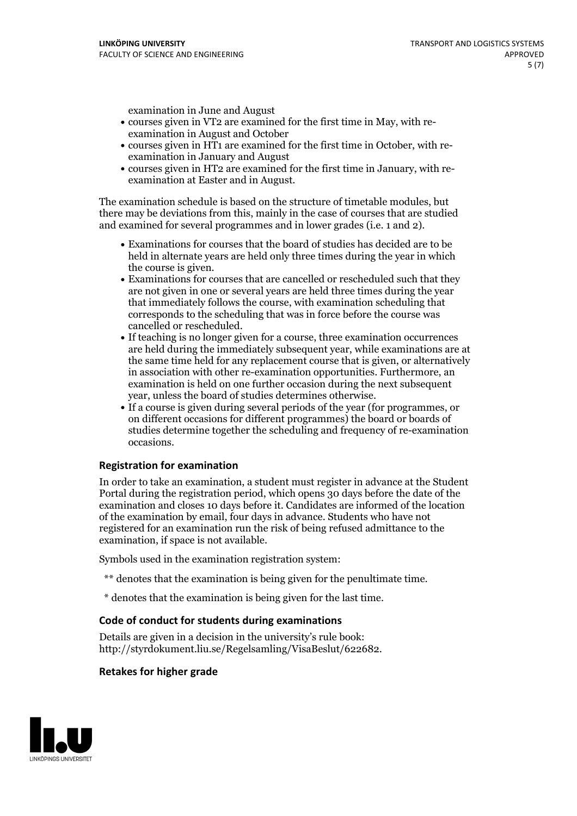examination in June and August

- courses given in VT2 are examined for the first time in May, with re-examination in August and October
- courses given in HT1 are examined for the first time in October, with re-examination in January and August
- courses given in HT2 are examined for the first time in January, with re-examination at Easter and in August.

The examination schedule is based on the structure of timetable modules, but there may be deviations from this, mainly in the case of courses that are studied and examined for several programmes and in lower grades (i.e. 1 and 2).

- Examinations for courses that the board of studies has decided are to be held in alternate years are held only three times during the year in which
- the course is given.<br>• Examinations for courses that are cancelled or rescheduled such that they are not given in one or several years are held three times during the year that immediately follows the course, with examination scheduling that corresponds to the scheduling that was in force before the course was cancelled or rescheduled.<br>• If teaching is no longer given for a course, three examination occurrences
- are held during the immediately subsequent year, while examinations are at the same time held for any replacement course that is given, or alternatively in association with other re-examination opportunities. Furthermore, an examination is held on one further occasion during the next subsequent year, unless the board of studies determines otherwise.<br>• If a course is given during several periods of the year (for programmes, or
- on different occasions for different programmes) the board orboards of studies determine together the scheduling and frequency of re-examination occasions.

#### **Registration for examination**

In order to take an examination, a student must register in advance at the Student Portal during the registration period, which opens 30 days before the date of the examination and closes 10 days before it. Candidates are informed of the location of the examination by email, four days in advance. Students who have not registered for an examination run the risk of being refused admittance to the examination, if space is not available.

Symbols used in the examination registration system:

- \*\* denotes that the examination is being given for the penultimate time.
- \* denotes that the examination is being given for the last time.

#### **Code of conduct for students during examinations**

Details are given in a decision in the university's rule book: http://styrdokument.liu.se/Regelsamling/VisaBeslut/622682.

#### **Retakes for higher grade**

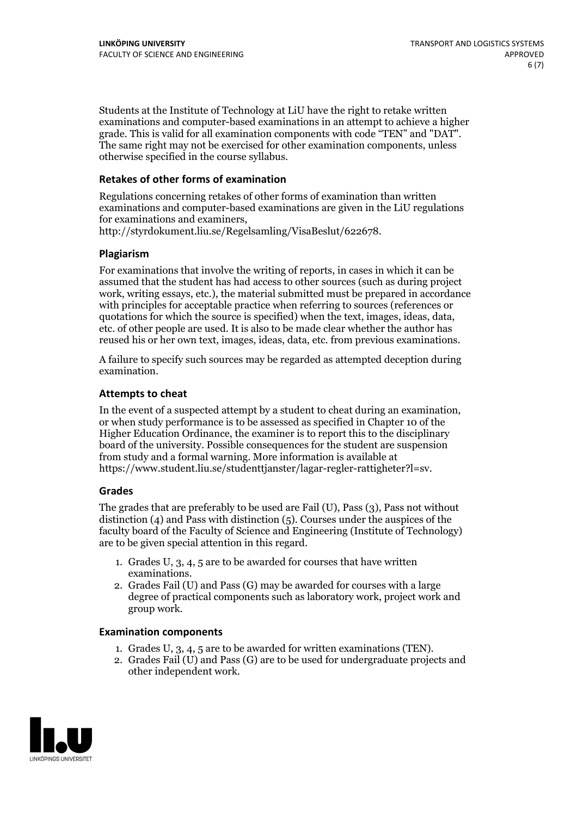Students at the Institute of Technology at LiU have the right to retake written examinations and computer-based examinations in an attempt to achieve a higher grade. This is valid for all examination components with code "TEN" and "DAT". The same right may not be exercised for other examination components, unless otherwise specified in the course syllabus.

### **Retakes of other forms of examination**

Regulations concerning retakes of other forms of examination than written examinations and computer-based examinations are given in the LiU regulations for examinations and examiners, http://styrdokument.liu.se/Regelsamling/VisaBeslut/622678.

#### **Plagiarism**

For examinations that involve the writing of reports, in cases in which it can be assumed that the student has had access to other sources (such as during project work, writing essays, etc.), the material submitted must be prepared in accordance with principles for acceptable practice when referring to sources (references or quotations for which the source is specified) when the text, images, ideas, data, etc. of other people are used. It is also to be made clear whether the author has reused his or her own text, images, ideas, data, etc. from previous examinations.

A failure to specify such sources may be regarded as attempted deception during examination.

#### **Attempts to cheat**

In the event of <sup>a</sup> suspected attempt by <sup>a</sup> student to cheat during an examination, or when study performance is to be assessed as specified in Chapter <sup>10</sup> of the Higher Education Ordinance, the examiner is to report this to the disciplinary board of the university. Possible consequences for the student are suspension from study and a formal warning. More information is available at https://www.student.liu.se/studenttjanster/lagar-regler-rattigheter?l=sv.

#### **Grades**

The grades that are preferably to be used are Fail (U), Pass (3), Pass not without distinction  $(4)$  and Pass with distinction  $(5)$ . Courses under the auspices of the faculty board of the Faculty of Science and Engineering (Institute of Technology) are to be given special attention in this regard.

- 1. Grades U, 3, 4, 5 are to be awarded for courses that have written
- examinations. 2. Grades Fail (U) and Pass (G) may be awarded for courses with <sup>a</sup> large degree of practical components such as laboratory work, project work and group work.

#### **Examination components**

- 
- 1. Grades U, 3, 4, <sup>5</sup> are to be awarded for written examinations (TEN). 2. Grades Fail (U) and Pass (G) are to be used for undergraduate projects and other independent work.